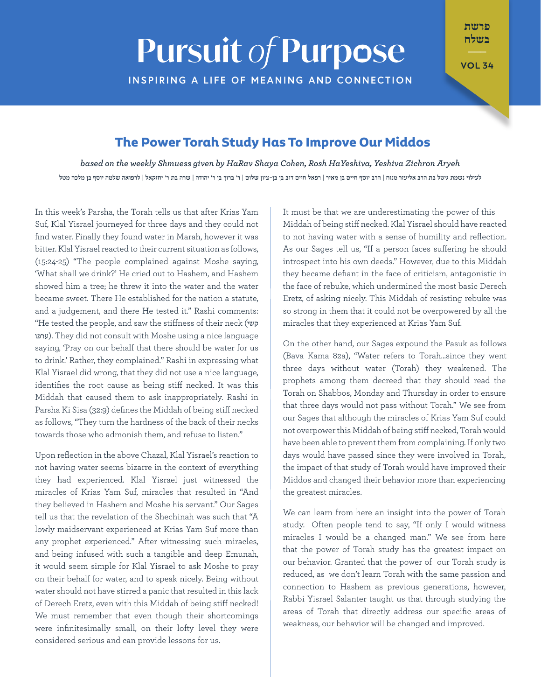# **Pursuit of Purpose**

**INSPIRING A LIFE OF MEANING AND CONNECTION** 

בשלח  $\overline{\phantom{a}}$ 

פרשת

**34 VOL**

## **The Power Torah Study Has To Improve Our Middos**

*Aryeh Zichron Yeshiva ,HaYeshiva Rosh ,Cohen Shaya HaRav by given Shmuess weekly the on based* לעילוי נשמת גיטל בת הרב אליעזר מנוח | הרב יוסף חיים בן מאיר | רפאל חיים דוב בן בן-ציון שלום | ר' ברוך בן ר' יהודה | שרה בת ר' יחזקאל | לרפואה שלמה יוסף בן מלכה מטל

In this week's Parsha, the Torah tells us that after Krias Yam Suf, Klal Yisrael journeyed for three days and they could not find water. Finally they found water in Marah, however it was bitter. Klal Yisrael reacted to their current situation as follows,  $(15:24-25)$  "The people complained against Moshe saying, 'What shall we drink?' He cried out to Hashem, and Hashem showed him a tree; he threw it into the water and the water became sweet. There He established for the nation a statute, and a judgement, and there He tested it." Rashi comments: "He tested the people, and saw the stiffness of their neck (קשי ערפו). They did not consult with Moshe using a nice language saying, 'Pray on our behalf that there should be water for us to drink.' Rather, they complained." Rashi in expressing what Klal Yisrael did wrong, that they did not use a nice language, identifies the root cause as being stiff necked. It was this Middah that caused them to ask inappropriately. Rashi in Parsha Ki Sisa (32:9) defines the Middah of being stiff necked as follows. "They turn the hardness of the back of their necks towards those who admonish them, and refuse to listen."

Upon reflection in the above Chazal, Klal Yisrael's reaction to not having water seems bizarre in the context of everything they had experienced. Klal Yisrael just witnessed the miracles of Krias Yam Suf, miracles that resulted in "And they believed in Hashem and Moshe his servant." Our Sages tell us that the revelation of the Shechinah was such that "A lowly maidservant experienced at Krias Yam Suf more than any prophet experienced." After witnessing such miracles, and being infused with such a tangible and deep Emunah, it would seem simple for Klal Yisrael to ask Moshe to pray on their behalf for water, and to speak nicely. Being without water should not have stirred a panic that resulted in this lack of Derech Eretz, even with this Middah of being stiff necked! We must remember that even though their shortcomings were infinitesimally small, on their lofty level they were considered serious and can provide lessons for us.

It must be that we are underestimating the power of this Middah of being stiff necked. Klal Yisrael should have reacted to not having water with a sense of humility and reflection. As our Sages tell us, "If a person faces suffering he should introspect into his own deeds." However, due to this Middah they became defiant in the face of criticism, antagonistic in the face of rebuke, which undermined the most basic Derech Eretz, of asking nicely. This Middah of resisting rebuke was so strong in them that it could not be overpowered by all the miracles that they experienced at Krias Yam Suf.

On the other hand, our Sages expound the Pasuk as follows (Bava Kama 82a), "Water refers to Torah since they went three days without water (Torah) they weakened. The prophets among them decreed that they should read the Torah on Shabbos, Monday and Thursday in order to ensure that three days would not pass without Torah." We see from our Sages that although the miracles of Krias Yam Suf could not overpower this Middah of being stiff necked, Torah would have been able to prevent them from complaining. If only two days would have passed since they were involved in Torah, the impact of that study of Torah would have improved their Middos and changed their behavior more than experiencing the greatest miracles.

We can learn from here an insight into the power of Torah study. Often people tend to say, "If only I would witness miracles I would be a changed man." We see from here that the power of Torah study has the greatest impact on our behavior. Granted that the power of our Torah study is reduced, as we don't learn Torah with the same passion and connection to Hashem as previous generations, however, Rabbi Yisrael Salanter taught us that through studying the areas of Torah that directly address our specific areas of weakness, our behavior will be changed and improved.